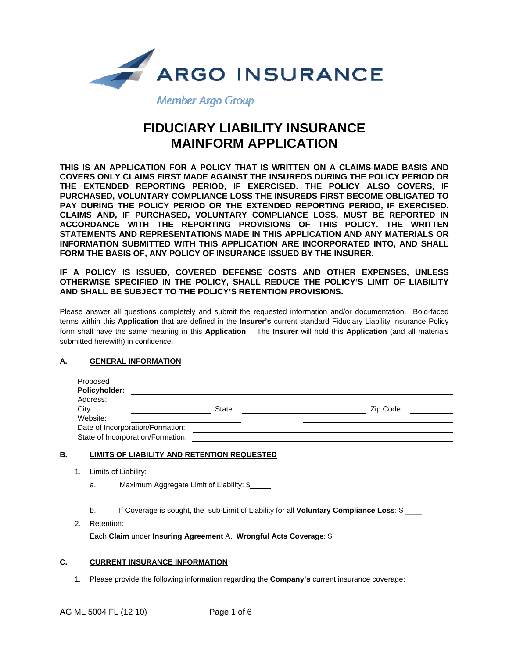

**Member Argo Group** 

# **FIDUCIARY LIABILITY INSURANCE MAINFORM APPLICATION**

**THIS IS AN APPLICATION FOR A POLICY THAT IS WRITTEN ON A CLAIMS-MADE BASIS AND COVERS ONLY CLAIMS FIRST MADE AGAINST THE INSUREDS DURING THE POLICY PERIOD OR THE EXTENDED REPORTING PERIOD, IF EXERCISED. THE POLICY ALSO COVERS, IF PURCHASED, VOLUNTARY COMPLIANCE LOSS THE INSUREDS FIRST BECOME OBLIGATED TO PAY DURING THE POLICY PERIOD OR THE EXTENDED REPORTING PERIOD, IF EXERCISED. CLAIMS AND, IF PURCHASED, VOLUNTARY COMPLIANCE LOSS, MUST BE REPORTED IN ACCORDANCE WITH THE REPORTING PROVISIONS OF THIS POLICY. THE WRITTEN STATEMENTS AND REPRESENTATIONS MADE IN THIS APPLICATION AND ANY MATERIALS OR INFORMATION SUBMITTED WITH THIS APPLICATION ARE INCORPORATED INTO, AND SHALL FORM THE BASIS OF, ANY POLICY OF INSURANCE ISSUED BY THE INSURER.** 

**IF A POLICY IS ISSUED, COVERED DEFENSE COSTS AND OTHER EXPENSES, UNLESS OTHERWISE SPECIFIED IN THE POLICY, SHALL REDUCE THE POLICY'S LIMIT OF LIABILITY AND SHALL BE SUBJECT TO THE POLICY'S RETENTION PROVISIONS.** 

Please answer all questions completely and submit the requested information and/or documentation. Bold-faced terms within this **Application** that are defined in the **Insurer's** current standard Fiduciary Liability Insurance Policy form shall have the same meaning in this **Application**. The **Insurer** will hold this **Application** (and all materials submitted herewith) in confidence.

## **A. GENERAL INFORMATION**

| Proposed<br>Policyholder:         |        |           |
|-----------------------------------|--------|-----------|
|                                   |        |           |
| Address:                          |        |           |
| City:                             | State: | Zip Code: |
| Website:                          |        |           |
| Date of Incorporation/Formation:  |        |           |
| State of Incorporation/Formation: |        |           |
|                                   |        |           |

## **B. LIMITS OF LIABILITY AND RETENTION REQUESTED**

- 1. Limits of Liability:
	- a. Maximum Aggregate Limit of Liability: \$
	- b. If Coverage is sought, the sub-Limit of Liability for all **Voluntary Compliance Loss**: \$ \_\_\_\_
- 2. Retention:

Each **Claim** under **Insuring Agreement** A. **Wrongful Acts Coverage**: \$ \_\_\_\_\_\_\_\_

## **C. CURRENT INSURANCE INFORMATION**

1. Please provide the following information regarding the **Company's** current insurance coverage: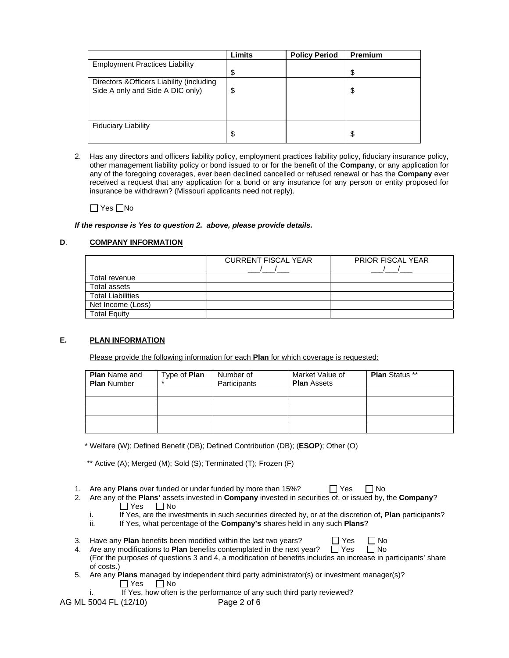|                                                                               | <b>Limits</b> | <b>Policy Period</b> | <b>Premium</b> |
|-------------------------------------------------------------------------------|---------------|----------------------|----------------|
| <b>Employment Practices Liability</b>                                         |               |                      |                |
|                                                                               | \$            |                      | \$             |
| Directors & Officers Liability (including<br>Side A only and Side A DIC only) | \$            |                      | \$             |
|                                                                               |               |                      |                |
| <b>Fiduciary Liability</b>                                                    | \$            |                      | \$             |

2. Has any directors and officers liability policy, employment practices liability policy, fiduciary insurance policy, other management liability policy or bond issued to or for the benefit of the **Company**, or any application for any of the foregoing coverages, ever been declined cancelled or refused renewal or has the **Company** ever received a request that any application for a bond or any insurance for any person or entity proposed for insurance be withdrawn? (Missouri applicants need not reply).

 $\Box$  Yes  $\Box$ No

#### *If the response is Yes to question 2. above, please provide details.*

## **D**. **COMPANY INFORMATION**

|                          | <b>CURRENT FISCAL YEAR</b> | <b>PRIOR FISCAL YEAR</b> |
|--------------------------|----------------------------|--------------------------|
| Total revenue            |                            |                          |
| Total assets             |                            |                          |
| <b>Total Liabilities</b> |                            |                          |
| Net Income (Loss)        |                            |                          |
| <b>Total Equity</b>      |                            |                          |

## **E. PLAN INFORMATION**

Please provide the following information for each **Plan** for which coverage is requested:

| <b>Plan Name and</b><br><b>Plan Number</b> | Type of Plan | Number of<br>Participants | Market Value of<br><b>Plan Assets</b> | <b>Plan Status **</b> |
|--------------------------------------------|--------------|---------------------------|---------------------------------------|-----------------------|
|                                            |              |                           |                                       |                       |
|                                            |              |                           |                                       |                       |
|                                            |              |                           |                                       |                       |
|                                            |              |                           |                                       |                       |
|                                            |              |                           |                                       |                       |

\* Welfare (W); Defined Benefit (DB); Defined Contribution (DB); (**ESOP**); Other (O)

\*\* Active (A); Merged (M); Sold (S); Terminated (T); Frozen (F)

- 1. Are any **Plans** over funded or under funded by more than  $15\%$ ?  $\Box$  Yes  $\Box$  No
- 2. Are any of the **Plans'** assets invested in **Company** invested in securities of, or issued by, the **Company**?  $\Box$  No
	- i. If Yes, are the investments in such securities directed by, or at the discretion of**, Plan** participants?
	- ii. If Yes, what percentage of the **Company's** shares held in any such **Plans**?
- 3. Have any **Plan** benefits been modified within the last two years?  $\Box$  Yes  $\Box$  No 4. Are any modifications to **Plan** benefits contemplated in the next year?  $\Box$  Yes  $\Box$  No
- 4. Are any modifications to **Plan** benefits contemplated in the next year? (For the purposes of questions 3 and 4, a modification of benefits includes an increase in participants' share of costs.)
- 5. Are any **Plans** managed by independent third party administrator(s) or investment manager(s)?<br>
T Yes 
D No  $\Box$  No
	- i. If Yes, how often is the performance of any such third party reviewed?

AG ML 5004 FL (12/10) Page 2 of 6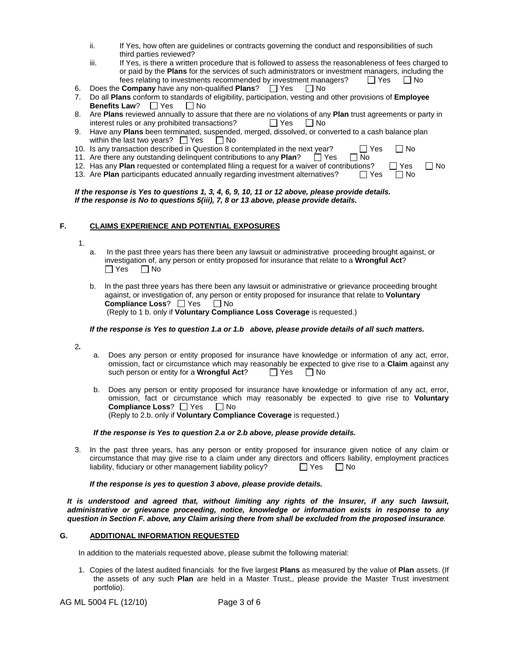- ii. If Yes, how often are guidelines or contracts governing the conduct and responsibilities of such third parties reviewed?
- iii. If Yes, is there a written procedure that is followed to assess the reasonableness of fees charged to or paid by the **Plans** for the services of such administrators or investment managers, including the fees relating to investments recommended by investment managers?  $\square$  Yes  $\square$  No
- 6. Does the **Company** have any non-qualified **Plans**?  $\Box$  Yes  $\Box$  No
- 7. Do all **Plans** conform to standards of eligibility, participation, vesting and other provisions of **Employee Benefits Law?**  $\Box$  Yes
- 8. Are **Plans** reviewed annually to assure that there are no violations of any **Plan** trust agreements or party in interest rules or any prohibited transactions?  $\Box$  Yes  $\Box$  No
- 9. Have any **Plans** been terminated, suspended, merged, dissolved, or converted to a cash balance plan within the last two years?  $\Box$  Yes  $\Box$  No
- 10. Is any transaction described in Question 8 contemplated in the next year?  $\Box$  Yes  $\Box$  No
- 11. Are there any outstanding delinguent contributions to any **Plan**?  $\Box$  Yes  $\Box$  No
- 12. Has any **Plan** requested or contemplated filing a request for a waiver of contributions?  $\square$  Yes  $\square$  No
- 13. Are **Plan** participants educated annually regarding investment alternatives?  $\Box$  Yes  $\Box$  No

#### *If the response is Yes to questions 1, 3, 4, 6, 9, 10, 11 or 12 above, please provide details. If the response is No to questions 5(iii), 7, 8 or 13 above, please provide details.*

#### **F. CLAIMS EXPERIENCE AND POTENTIAL EXPOSURES**

- 1.
- a. In the past three years has there been any lawsuit or administrative proceeding brought against, or investigation of, any person or entity proposed for insurance that relate to a **Wrongful Act**?  $\Box$  Yes  $\Box$  No
- b. In the past three years has there been any lawsuit or administrative or grievance proceeding brought against, or investigation of, any person or entity proposed for insurance that relate to **Voluntary Compliance Loss?** □ Yes □ No (Reply to 1 b. only if **Voluntary Compliance Loss Coverage** is requested.)

#### *If the response is Yes to question 1.a or 1.b above, please provide details of all such matters.*

- 2*.*
- a. Does any person or entity proposed for insurance have knowledge or information of any act, error, omission, fact or circumstance which may reasonably be expected to give rise to a **Claim** against any such person or entity for a **Wrongful Act**?  $\Box$  Yes  $\Box$  No
- b. Does any person or entity proposed for insurance have knowledge or information of any act, error, omission, fact or circumstance which may reasonably be expected to give rise to **Voluntary Compliance Loss**? □ Yes □ No (Reply to 2.b. only if **Voluntary Compliance Coverage** is requested.)

## *If the response is Yes to question 2.a or 2.b above, please provide details.*

3. In the past three years, has any person or entity proposed for insurance given notice of any claim or circumstance that may give rise to a claim under any directors and officers liability, employment practices liability, fiduciary or other management liability policy?  $\Box$  Yes  $\Box$  No liability, fiduciary or other management liability policy?  $\Box$  Yes

#### *If the response is yes to question 3 above, please provide details.*

*It is understood and agreed that, without limiting any rights of the Insurer, if any such lawsuit, administrative or grievance proceeding, notice, knowledge or information exists in response to any question in Section F. above, any Claim arising there from shall be excluded from the proposed insurance.* 

#### **G. ADDITIONAL INFORMATION REQUESTED**

In addition to the materials requested above, please submit the following material:

1. Copies of the latest audited financials for the five largest **Plans** as measured by the value of **Plan** assets. (If the assets of any such **Plan** are held in a Master Trust,, please provide the Master Trust investment portfolio).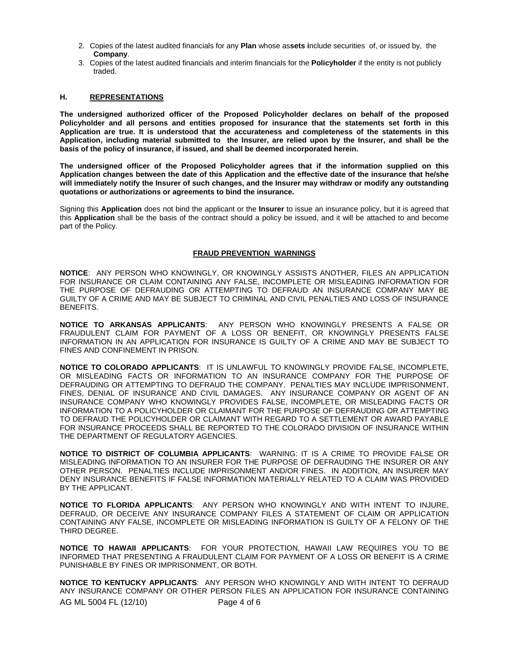- 2. Copies of the latest audited financials for any **Plan** whose as**sets i**nclude securities of, or issued by, the **Company**.
- 3. Copies of the latest audited financials and interim financials for the **Policyholder** if the entity is not publicly traded.

#### **H. REPRESENTATIONS**

**The undersigned authorized officer of the Proposed Policyholder declares on behalf of the proposed Policyholder and all persons and entities proposed for insurance that the statements set forth in this Application are true. It is understood that the accurateness and completeness of the statements in this Application, including material submitted to the Insurer, are relied upon by the Insurer, and shall be the basis of the policy of insurance, if issued, and shall be deemed incorporated herein.** 

**The undersigned officer of the Proposed Policyholder agrees that if the information supplied on this Application changes between the date of this Application and the effective date of the insurance that he/she will immediately notify the Insurer of such changes, and the Insurer may withdraw or modify any outstanding quotations or authorizations or agreements to bind the insurance.** 

Signing this **Application** does not bind the applicant or the **Insurer** to issue an insurance policy, but it is agreed that this **Application** shall be the basis of the contract should a policy be issued, and it will be attached to and become part of the Policy.

#### **FRAUD PREVENTION WARNINGS**

**NOTICE**: ANY PERSON WHO KNOWINGLY, OR KNOWINGLY ASSISTS ANOTHER, FILES AN APPLICATION FOR INSURANCE OR CLAIM CONTAINING ANY FALSE, INCOMPLETE OR MISLEADING INFORMATION FOR THE PURPOSE OF DEFRAUDING OR ATTEMPTING TO DEFRAUD AN INSURANCE COMPANY MAY BE GUILTY OF A CRIME AND MAY BE SUBJECT TO CRIMINAL AND CIVIL PENALTIES AND LOSS OF INSURANCE BENEFITS.

**NOTICE TO ARKANSAS APPLICANTS**: ANY PERSON WHO KNOWINGLY PRESENTS A FALSE OR FRAUDULENT CLAIM FOR PAYMENT OF A LOSS OR BENEFIT, OR KNOWINGLY PRESENTS FALSE INFORMATION IN AN APPLICATION FOR INSURANCE IS GUILTY OF A CRIME AND MAY BE SUBJECT TO FINES AND CONFINEMENT IN PRISON.

**NOTICE TO COLORADO APPLICANTS**: IT IS UNLAWFUL TO KNOWINGLY PROVIDE FALSE, INCOMPLETE, OR MISLEADING FACTS OR INFORMATION TO AN INSURANCE COMPANY FOR THE PURPOSE OF DEFRAUDING OR ATTEMPTING TO DEFRAUD THE COMPANY. PENALTIES MAY INCLUDE IMPRISONMENT, FINES, DENIAL OF INSURANCE AND CIVIL DAMAGES. ANY INSURANCE COMPANY OR AGENT OF AN INSURANCE COMPANY WHO KNOWINGLY PROVIDES FALSE, INCOMPLETE, OR MISLEADING FACTS OR INFORMATION TO A POLICYHOLDER OR CLAIMANT FOR THE PURPOSE OF DEFRAUDING OR ATTEMPTING TO DEFRAUD THE POLICYHOLDER OR CLAIMANT WITH REGARD TO A SETTLEMENT OR AWARD PAYABLE FOR INSURANCE PROCEEDS SHALL BE REPORTED TO THE COLORADO DIVISION OF INSURANCE WITHIN THE DEPARTMENT OF REGULATORY AGENCIES.

**NOTICE TO DISTRICT OF COLUMBIA APPLICANTS**: WARNING: IT IS A CRIME TO PROVIDE FALSE OR MISLEADING INFORMATION TO AN INSURER FOR THE PURPOSE OF DEFRAUDING THE INSURER OR ANY OTHER PERSON. PENALTIES INCLUDE IMPRISONMENT AND/OR FINES. IN ADDITION, AN INSURER MAY DENY INSURANCE BENEFITS IF FALSE INFORMATION MATERIALLY RELATED TO A CLAIM WAS PROVIDED BY THE APPLICANT.

**NOTICE TO FLORIDA APPLICANTS**: ANY PERSON WHO KNOWINGLY AND WITH INTENT TO INJURE, DEFRAUD, OR DECEIVE ANY INSURANCE COMPANY FILES A STATEMENT OF CLAIM OR APPLICATION CONTAINING ANY FALSE, INCOMPLETE OR MISLEADING INFORMATION IS GUILTY OF A FELONY OF THE THIRD DEGREE.

**NOTICE TO HAWAII APPLICANTS**: FOR YOUR PROTECTION, HAWAII LAW REQUIRES YOU TO BE INFORMED THAT PRESENTING A FRAUDULENT CLAIM FOR PAYMENT OF A LOSS OR BENEFIT IS A CRIME PUNISHABLE BY FINES OR IMPRISONMENT, OR BOTH.

AG ML 5004 FL (12/10) Page 4 of 6 **NOTICE TO KENTUCKY APPLICANTS**: ANY PERSON WHO KNOWINGLY AND WITH INTENT TO DEFRAUD ANY INSURANCE COMPANY OR OTHER PERSON FILES AN APPLICATION FOR INSURANCE CONTAINING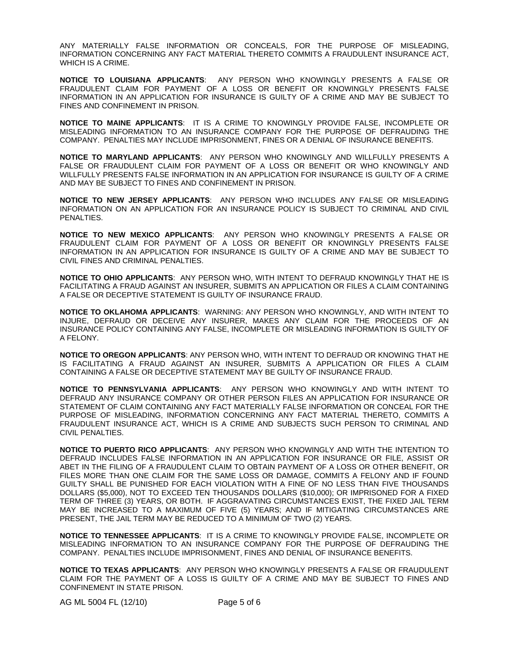ANY MATERIALLY FALSE INFORMATION OR CONCEALS, FOR THE PURPOSE OF MISLEADING, INFORMATION CONCERNING ANY FACT MATERIAL THERETO COMMITS A FRAUDULENT INSURANCE ACT, WHICH IS A CRIME.

**NOTICE TO LOUISIANA APPLICANTS**: ANY PERSON WHO KNOWINGLY PRESENTS A FALSE OR FRAUDULENT CLAIM FOR PAYMENT OF A LOSS OR BENEFIT OR KNOWINGLY PRESENTS FALSE INFORMATION IN AN APPLICATION FOR INSURANCE IS GUILTY OF A CRIME AND MAY BE SUBJECT TO FINES AND CONFINEMENT IN PRISON.

**NOTICE TO MAINE APPLICANTS**: IT IS A CRIME TO KNOWINGLY PROVIDE FALSE, INCOMPLETE OR MISLEADING INFORMATION TO AN INSURANCE COMPANY FOR THE PURPOSE OF DEFRAUDING THE COMPANY. PENALTIES MAY INCLUDE IMPRISONMENT, FINES OR A DENIAL OF INSURANCE BENEFITS.

**NOTICE TO MARYLAND APPLICANTS**: ANY PERSON WHO KNOWINGLY AND WILLFULLY PRESENTS A FALSE OR FRAUDULENT CLAIM FOR PAYMENT OF A LOSS OR BENEFIT OR WHO KNOWINGLY AND WILLFULLY PRESENTS FALSE INFORMATION IN AN APPLICATION FOR INSURANCE IS GUILTY OF A CRIME AND MAY BE SUBJECT TO FINES AND CONFINEMENT IN PRISON.

**NOTICE TO NEW JERSEY APPLICANTS**: ANY PERSON WHO INCLUDES ANY FALSE OR MISLEADING INFORMATION ON AN APPLICATION FOR AN INSURANCE POLICY IS SUBJECT TO CRIMINAL AND CIVIL PENALTIES.

**NOTICE TO NEW MEXICO APPLICANTS**: ANY PERSON WHO KNOWINGLY PRESENTS A FALSE OR FRAUDULENT CLAIM FOR PAYMENT OF A LOSS OR BENEFIT OR KNOWINGLY PRESENTS FALSE INFORMATION IN AN APPLICATION FOR INSURANCE IS GUILTY OF A CRIME AND MAY BE SUBJECT TO CIVIL FINES AND CRIMINAL PENALTIES.

**NOTICE TO OHIO APPLICANTS**: ANY PERSON WHO, WITH INTENT TO DEFRAUD KNOWINGLY THAT HE IS FACILITATING A FRAUD AGAINST AN INSURER, SUBMITS AN APPLICATION OR FILES A CLAIM CONTAINING A FALSE OR DECEPTIVE STATEMENT IS GUILTY OF INSURANCE FRAUD.

**NOTICE TO OKLAHOMA APPLICANTS**: WARNING: ANY PERSON WHO KNOWINGLY, AND WITH INTENT TO INJURE, DEFRAUD OR DECEIVE ANY INSURER, MAKES ANY CLAIM FOR THE PROCEEDS OF AN INSURANCE POLICY CONTAINING ANY FALSE, INCOMPLETE OR MISLEADING INFORMATION IS GUILTY OF A FELONY.

**NOTICE TO OREGON APPLICANTS**: ANY PERSON WHO, WITH INTENT TO DEFRAUD OR KNOWING THAT HE IS FACILITATING A FRAUD AGAINST AN INSURER, SUBMITS A APPLICATION OR FILES A CLAIM CONTAINING A FALSE OR DECEPTIVE STATEMENT MAY BE GUILTY OF INSURANCE FRAUD.

**NOTICE TO PENNSYLVANIA APPLICANTS**: ANY PERSON WHO KNOWINGLY AND WITH INTENT TO DEFRAUD ANY INSURANCE COMPANY OR OTHER PERSON FILES AN APPLICATION FOR INSURANCE OR STATEMENT OF CLAIM CONTAINING ANY FACT MATERIALLY FALSE INFORMATION OR CONCEAL FOR THE PURPOSE OF MISLEADING, INFORMATION CONCERNING ANY FACT MATERIAL THERETO, COMMITS A FRAUDULENT INSURANCE ACT, WHICH IS A CRIME AND SUBJECTS SUCH PERSON TO CRIMINAL AND CIVIL PENALTIES.

**NOTICE TO PUERTO RICO APPLICANTS**: ANY PERSON WHO KNOWINGLY AND WITH THE INTENTION TO DEFRAUD INCLUDES FALSE INFORMATION IN AN APPLICATION FOR INSURANCE OR FILE, ASSIST OR ABET IN THE FILING OF A FRAUDULENT CLAIM TO OBTAIN PAYMENT OF A LOSS OR OTHER BENEFIT, OR FILES MORE THAN ONE CLAIM FOR THE SAME LOSS OR DAMAGE, COMMITS A FELONY AND IF FOUND GUILTY SHALL BE PUNISHED FOR EACH VIOLATION WITH A FINE OF NO LESS THAN FIVE THOUSANDS DOLLARS (\$5,000), NOT TO EXCEED TEN THOUSANDS DOLLARS (\$10,000); OR IMPRISONED FOR A FIXED TERM OF THREE (3) YEARS, OR BOTH. IF AGGRAVATING CIRCUMSTANCES EXIST, THE FIXED JAIL TERM MAY BE INCREASED TO A MAXIMUM OF FIVE (5) YEARS; AND IF MITIGATING CIRCUMSTANCES ARE PRESENT, THE JAIL TERM MAY BE REDUCED TO A MINIMUM OF TWO (2) YEARS.

**NOTICE TO TENNESSEE APPLICANTS**: IT IS A CRIME TO KNOWINGLY PROVIDE FALSE, INCOMPLETE OR MISLEADING INFORMATION TO AN INSURANCE COMPANY FOR THE PURPOSE OF DEFRAUDING THE COMPANY. PENALTIES INCLUDE IMPRISONMENT, FINES AND DENIAL OF INSURANCE BENEFITS.

**NOTICE TO TEXAS APPLICANTS**: ANY PERSON WHO KNOWINGLY PRESENTS A FALSE OR FRAUDULENT CLAIM FOR THE PAYMENT OF A LOSS IS GUILTY OF A CRIME AND MAY BE SUBJECT TO FINES AND CONFINEMENT IN STATE PRISON.

AG ML 5004 FL (12/10) Page 5 of 6